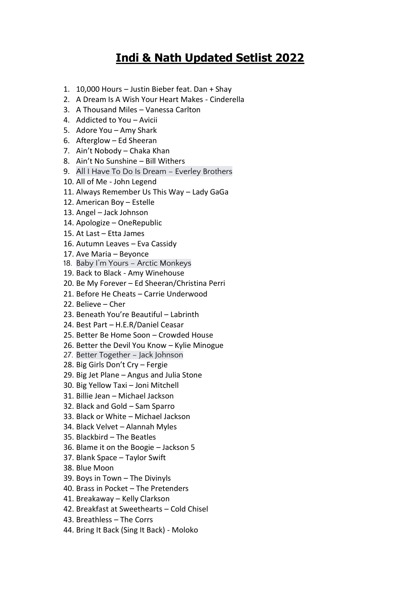## **Indi & Nath Updated Setlist 2022**

- 1. 10,000 Hours Justin Bieber feat. Dan + Shay
- 2. A Dream Is A Wish Your Heart Makes Cinderella
- 3. A Thousand Miles Vanessa Carlton
- 4. Addicted to You Avicii
- 5. Adore You Amy Shark
- 6. Afterglow Ed Sheeran
- 7. Ain't Nobody Chaka Khan
- 8. Ain't No Sunshine Bill Withers
- 9. All I Have To Do Is Dream Everley Brothers
- 10. All of Me John Legend
- 11. Always Remember Us This Way Lady GaGa
- 12. American Boy Estelle
- 13. Angel Jack Johnson
- 14. Apologize OneRepublic
- 15. At Last Etta James
- 16. Autumn Leaves Eva Cassidy
- 17. Ave Maria Beyonce
- 18. Baby I'm Yours Arctic Monkeys
- 19. Back to Black Amy Winehouse
- 20. Be My Forever Ed Sheeran/Christina Perri
- 21. Before He Cheats Carrie Underwood
- 22. Believe Cher
- 23. Beneath You're Beautiful Labrinth
- 24. Best Part H.E.R/Daniel Ceasar
- 25. Better Be Home Soon Crowded House
- 26. Better the Devil You Know Kylie Minogue
- 27. Better Together Jack Johnson
- 28. Big Girls Don't Cry Fergie
- 29. Big Jet Plane Angus and Julia Stone
- 30. Big Yellow Taxi Joni Mitchell
- 31. Billie Jean Michael Jackson
- 32. Black and Gold Sam Sparro
- 33. Black or White Michael Jackson
- 34. Black Velvet Alannah Myles
- 35. Blackbird The Beatles
- 36. Blame it on the Boogie Jackson 5
- 37. Blank Space Taylor Swift
- 38. Blue Moon
- 39. Boys in Town The Divinyls
- 40. Brass in Pocket The Pretenders
- 41. Breakaway Kelly Clarkson
- 42. Breakfast at Sweethearts Cold Chisel
- 43. Breathless The Corrs
- 44. Bring It Back (Sing It Back) Moloko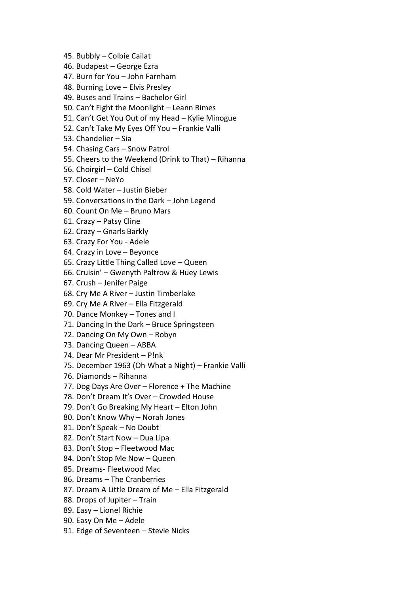- 45. Bubbly Colbie Cailat
- 46. Budapest George Ezra
- 47. Burn for You John Farnham
- 48. Burning Love Elvis Presley
- 49. Buses and Trains Bachelor Girl
- 50. Can't Fight the Moonlight Leann Rimes
- 51. Can't Get You Out of my Head Kylie Minogue
- 52. Can't Take My Eyes Off You Frankie Valli
- 53. Chandelier Sia
- 54. Chasing Cars Snow Patrol
- 55. Cheers to the Weekend (Drink to That) Rihanna
- 56. Choirgirl Cold Chisel
- 57. Closer NeYo
- 58. Cold Water Justin Bieber
- 59. Conversations in the Dark John Legend
- 60. Count On Me Bruno Mars
- 61. Crazy Patsy Cline
- 62. Crazy Gnarls Barkly
- 63. Crazy For You Adele
- 64. Crazy in Love Beyonce
- 65. Crazy Little Thing Called Love Queen
- 66. Cruisin' Gwenyth Paltrow & Huey Lewis
- 67. Crush Jenifer Paige
- 68. Cry Me A River Justin Timberlake
- 69. Cry Me A River Ella Fitzgerald
- 70. Dance Monkey Tones and I
- 71. Dancing In the Dark Bruce Springsteen
- 72. Dancing On My Own Robyn
- 73. Dancing Queen ABBA
- 74. Dear Mr President P!nk
- 75. December 1963 (Oh What a Night) Frankie Valli
- 76. Diamonds Rihanna
- 77. Dog Days Are Over Florence + The Machine
- 78. Don't Dream It's Over Crowded House
- 79. Don't Go Breaking My Heart Elton John
- 80. Don't Know Why Norah Jones
- 81. Don't Speak No Doubt
- 82. Don't Start Now Dua Lipa
- 83. Don't Stop Fleetwood Mac
- 84. Don't Stop Me Now Queen
- 85. Dreams- Fleetwood Mac
- 86. Dreams The Cranberries
- 87. Dream A Little Dream of Me Ella Fitzgerald
- 88. Drops of Jupiter Train
- 89. Easy Lionel Richie
- 90. Easy On Me Adele
- 91. Edge of Seventeen Stevie Nicks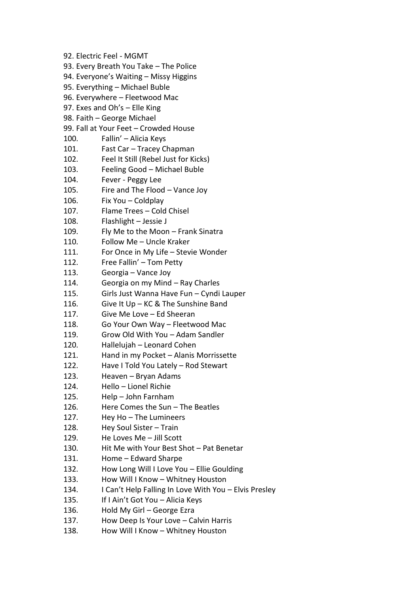92. Electric Feel - MGMT 93. Every Breath You Take – The Police 94. Everyone's Waiting – Missy Higgins 95. Everything – Michael Buble 96. Everywhere – Fleetwood Mac 97. Exes and Oh's – Elle King 98. Faith – George Michael 99. Fall at Your Feet – Crowded House 100. Fallin' – Alicia Keys 101. Fast Car – Tracey Chapman 102. Feel It Still (Rebel Just for Kicks) 103. Feeling Good – Michael Buble 104. Fever - Peggy Lee 105. Fire and The Flood – Vance Joy 106. Fix You – Coldplay 107. Flame Trees – Cold Chisel 108. Flashlight – Jessie J 109. Fly Me to the Moon – Frank Sinatra 110. Follow Me – Uncle Kraker 111. For Once in My Life – Stevie Wonder 112. Free Fallin' – Tom Petty 113. Georgia – Vance Joy 114. Georgia on my Mind – Ray Charles 115. Girls Just Wanna Have Fun – Cyndi Lauper 116. Give It Up – KC & The Sunshine Band 117. Give Me Love – Ed Sheeran 118. Go Your Own Way – Fleetwood Mac 119. Grow Old With You – Adam Sandler 120. Hallelujah – Leonard Cohen 121. Hand in my Pocket – Alanis Morrissette 122. Have I Told You Lately – Rod Stewart 123. Heaven – Bryan Adams 124. Hello – Lionel Richie 125. Help – John Farnham 126. Here Comes the Sun – The Beatles 127. Hey Ho – The Lumineers 128. Hey Soul Sister – Train 129. He Loves Me – Jill Scott 130. Hit Me with Your Best Shot – Pat Benetar 131. Home – Edward Sharpe 132. How Long Will I Love You – Ellie Goulding 133. How Will I Know – Whitney Houston 134. I Can't Help Falling In Love With You – Elvis Presley 135. If I Ain't Got You – Alicia Keys 136. Hold My Girl – George Ezra 137. How Deep Is Your Love – Calvin Harris 138. How Will I Know – Whitney Houston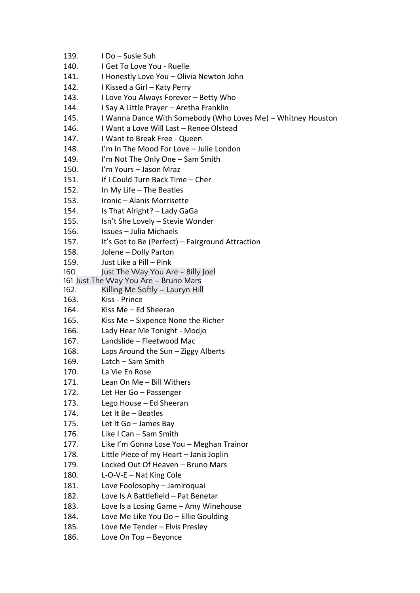| 139. | I Do - Susie Suh                                             |
|------|--------------------------------------------------------------|
| 140. | I Get To Love You - Ruelle                                   |
| 141. | I Honestly Love You - Olivia Newton John                     |
| 142. | I Kissed a Girl - Katy Perry                                 |
| 143. | I Love You Always Forever - Betty Who                        |
| 144. | I Say A Little Prayer - Aretha Franklin                      |
| 145. | I Wanna Dance With Somebody (Who Loves Me) – Whitney Houston |
| 146. | I Want a Love Will Last - Renee Olstead                      |
| 147. | I Want to Break Free - Queen                                 |
| 148. | I'm In The Mood For Love - Julie London                      |
| 149. | I'm Not The Only One - Sam Smith                             |
| 150. | I'm Yours - Jason Mraz                                       |
| 151. | If I Could Turn Back Time - Cher                             |
| 152. | In My Life $-$ The Beatles                                   |
| 153. | Ironic - Alanis Morrisette                                   |
| 154. | Is That Alright? - Lady GaGa                                 |
| 155. | Isn't She Lovely - Stevie Wonder                             |
| 156. | Issues - Julia Michaels                                      |
| 157. | It's Got to Be (Perfect) - Fairground Attraction             |
| 158. | Jolene - Dolly Parton                                        |
| 159. | Just Like a Pill - Pink                                      |
| 160. | Just The Way You Are - Billy Joel                            |
|      | 161. Just The Way You Are - Bruno Mars                       |
| 162. | Killing Me Softly – Lauryn Hill                              |
| 163. | Kiss - Prince                                                |
| 164. | Kiss Me $-$ Ed Sheeran                                       |
| 165. | Kiss Me - Sixpence None the Richer                           |
| 166. | Lady Hear Me Tonight - Modjo                                 |
| 167. | Landslide - Fleetwood Mac                                    |
| 168. | Laps Around the Sun - Ziggy Alberts                          |
| 169. | Latch - Sam Smith                                            |
| 170. | La Vie En Rose                                               |
| 171. | Lean On Me - Bill Withers                                    |
| 172. | Let Her Go - Passenger                                       |
| 173. | Lego House - Ed Sheeran                                      |
| 174. | Let It Be - Beatles                                          |
| 175. | Let It Go - James Bay                                        |
| 176. | Like I Can - Sam Smith                                       |
| 177. | Like I'm Gonna Lose You - Meghan Trainor                     |
| 178. | Little Piece of my Heart - Janis Joplin                      |
| 179. | Locked Out Of Heaven - Bruno Mars                            |
| 180. | $L-O-V-E - Nat King Cole$                                    |
| 181. | Love Foolosophy - Jamiroquai                                 |
| 182. | Love Is A Battlefield - Pat Benetar                          |
| 183. | Love Is a Losing Game - Amy Winehouse                        |
| 184. | Love Me Like You Do - Ellie Goulding                         |
| 185. | Love Me Tender - Elvis Presley                               |
| 186. | Love On Top - Beyonce                                        |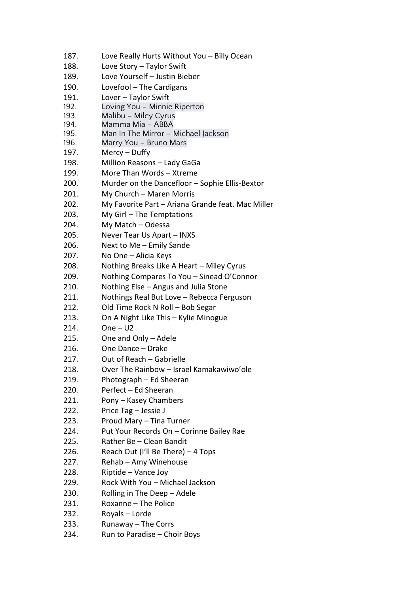| 187. | Love Really Hurts Without You - Billy Ocean       |
|------|---------------------------------------------------|
| 188. | Love Story - Taylor Swift                         |
| 189. | Love Yourself - Justin Bieber                     |
| 190. | Lovefool - The Cardigans                          |
| 191. | Lover - Taylor Swift                              |
| 192. | Loving You - Minnie Riperton                      |
| 193. | Malibu - Miley Cyrus                              |
| 194. | Mamma Mia - ABBA                                  |
| 195. | Man In The Mirror - Michael Jackson               |
| 196. | Marry You - Bruno Mars                            |
| 197. | Mercy – Duffy                                     |
| 198. | Million Reasons - Lady GaGa                       |
| 199. | More Than Words - Xtreme                          |
| 200. | Murder on the Dancefloor - Sophie Ellis-Bextor    |
| 201. | My Church - Maren Morris                          |
| 202. | My Favorite Part - Ariana Grande feat. Mac Miller |
| 203. | My Girl - The Temptations                         |
| 204. | My Match - Odessa                                 |
| 205. | Never Tear Us Apart - INXS                        |
| 206. | Next to Me - Emily Sande                          |
| 207. | No One - Alicia Keys                              |
| 208. | Nothing Breaks Like A Heart - Miley Cyrus         |
| 209. | Nothing Compares To You - Sinead O'Connor         |
| 210. | Nothing Else - Angus and Julia Stone              |
| 211. | Nothings Real But Love - Rebecca Ferguson         |
| 212. | Old Time Rock N Roll - Bob Segar                  |
| 213. | On A Night Like This - Kylie Minogue              |
| 214. | $One - U2$                                        |
| 215. | One and Only - Adele                              |
| 216. | One Dance - Drake                                 |
| 217. | Out of Reach - Gabrielle                          |
| 218. | Over The Rainbow - Israel Kamakawiwo'ole          |
| 219. | Photograph - Ed Sheeran                           |
| 220. | Perfect - Ed Sheeran                              |
| 221. | Pony - Kasey Chambers                             |
| 222. | Price Tag - Jessie J                              |
| 223. | Proud Mary - Tina Turner                          |
| 224. | Put Your Records On - Corinne Bailey Rae          |
| 225. | Rather Be - Clean Bandit                          |
| 226. |                                                   |
|      | Reach Out (I'll Be There) – 4 Tops                |
| 227. | Rehab - Amy Winehouse                             |
| 228. | Riptide - Vance Joy                               |
| 229. | Rock With You - Michael Jackson                   |
| 230. | Rolling in The Deep - Adele                       |
| 231. | Roxanne - The Police                              |
| 232. | Royals - Lorde                                    |
| 233. | Runaway - The Corrs                               |
| 234. | Run to Paradise - Choir Boys                      |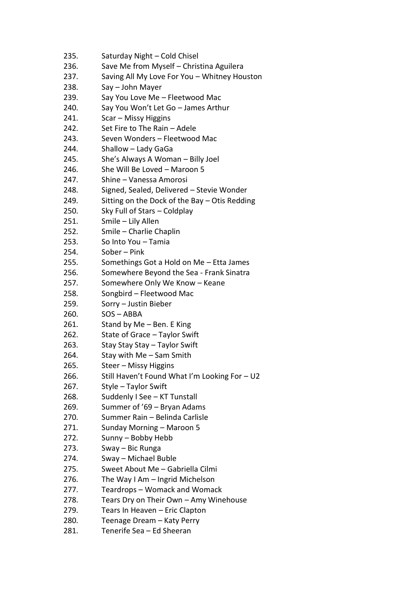| 235. | Saturday Night - Cold Chisel                  |
|------|-----------------------------------------------|
| 236. | Save Me from Myself - Christina Aguilera      |
| 237. | Saving All My Love For You - Whitney Houston  |
| 238. | Say - John Mayer                              |
| 239. | Say You Love Me - Fleetwood Mac               |
| 240. | Say You Won't Let Go - James Arthur           |
| 241. | Scar - Missy Higgins                          |
| 242. | Set Fire to The Rain - Adele                  |
| 243. | Seven Wonders - Fleetwood Mac                 |
| 244. | Shallow - Lady GaGa                           |
| 245. | She's Always A Woman - Billy Joel             |
| 246. | She Will Be Loved - Maroon 5                  |
| 247. | Shine - Vanessa Amorosi                       |
| 248. | Signed, Sealed, Delivered - Stevie Wonder     |
| 249. | Sitting on the Dock of the Bay - Otis Redding |
| 250. | Sky Full of Stars - Coldplay                  |
| 251. | Smile - Lily Allen                            |
| 252. | Smile - Charlie Chaplin                       |
| 253. | So Into You - Tamia                           |
| 254. | Sober - Pink                                  |
| 255. | Somethings Got a Hold on Me - Etta James      |
| 256. | Somewhere Beyond the Sea - Frank Sinatra      |
| 257. | Somewhere Only We Know - Keane                |
| 258. | Songbird - Fleetwood Mac                      |
| 259. | Sorry - Justin Bieber                         |
| 260. | $SOS - ABBA$                                  |
| 261. | Stand by Me - Ben. E King                     |
| 262. | State of Grace - Taylor Swift                 |
| 263. | Stay Stay Stay - Taylor Swift                 |
| 264. | Stay with Me - Sam Smith                      |
| 265. | Steer - Missy Higgins                         |
| 266. | Still Haven't Found What I'm Looking For - U2 |
| 267. | Style - Taylor Swift                          |
| 268. | Suddenly I See - KT Tunstall                  |
| 269. | Summer of '69 - Bryan Adams                   |
| 270. | Summer Rain - Belinda Carlisle                |
| 271. | Sunday Morning - Maroon 5                     |
| 272. | Sunny - Bobby Hebb                            |
| 273. | Sway – Bic Runga                              |
| 274. | Sway - Michael Buble                          |
| 275. | Sweet About Me - Gabriella Cilmi              |
| 276. | The Way I Am - Ingrid Michelson               |
| 277. | Teardrops – Womack and Womack                 |
| 278. | Tears Dry on Their Own - Amy Winehouse        |
| 279. | Tears In Heaven - Eric Clapton                |
| 280. | Teenage Dream - Katy Perry                    |
| 281. | Tenerife Sea - Ed Sheeran                     |
|      |                                               |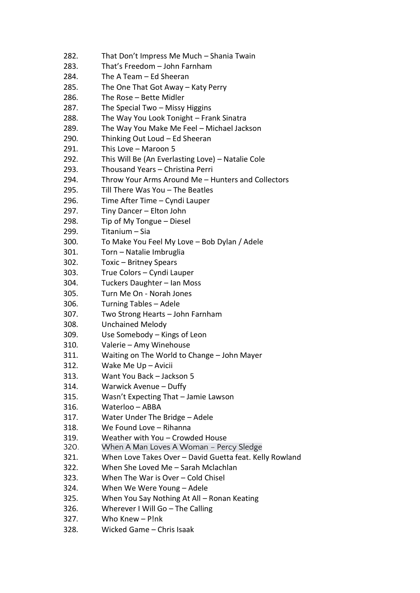282. That Don't Impress Me Much – Shania Twain 283. That's Freedom – John Farnham 284. The A Team – Ed Sheeran 285. The One That Got Away – Katy Perry 286. The Rose – Bette Midler 287. The Special Two – Missy Higgins 288. The Way You Look Tonight – Frank Sinatra 289. The Way You Make Me Feel – Michael Jackson 290. Thinking Out Loud – Ed Sheeran 291. This Love – Maroon 5 292. This Will Be (An Everlasting Love) – Natalie Cole 293. Thousand Years – Christina Perri 294. Throw Your Arms Around Me – Hunters and Collectors 295. Till There Was You – The Beatles 296. Time After Time – Cyndi Lauper 297. Tiny Dancer – Elton John 298. Tip of My Tongue – Diesel 299. Titanium – Sia 300. To Make You Feel My Love – Bob Dylan / Adele 301. Torn – Natalie Imbruglia 302. Toxic – Britney Spears 303. True Colors – Cyndi Lauper 304. Tuckers Daughter – Ian Moss 305. Turn Me On - Norah Jones 306. Turning Tables – Adele 307. Two Strong Hearts – John Farnham 308. Unchained Melody 309. Use Somebody – Kings of Leon 310. Valerie – Amy Winehouse 311. Waiting on The World to Change – John Mayer 312. Wake Me Up – Avicii 313. Want You Back – Jackson 5 314. Warwick Avenue – Duffy 315. Wasn't Expecting That – Jamie Lawson 316. Waterloo – ABBA 317. Water Under The Bridge – Adele 318. We Found Love – Rihanna 319. Weather with You – Crowded House 320. When A Man Loves A Woman – Percy Sledge 321. When Love Takes Over – David Guetta feat. Kelly Rowland 322. When She Loved Me – Sarah Mclachlan 323. When The War is Over – Cold Chisel 324. When We Were Young – Adele 325. When You Say Nothing At All – Ronan Keating 326. Wherever I Will Go – The Calling 327. Who Knew – P!nk 328. Wicked Game – Chris Isaak